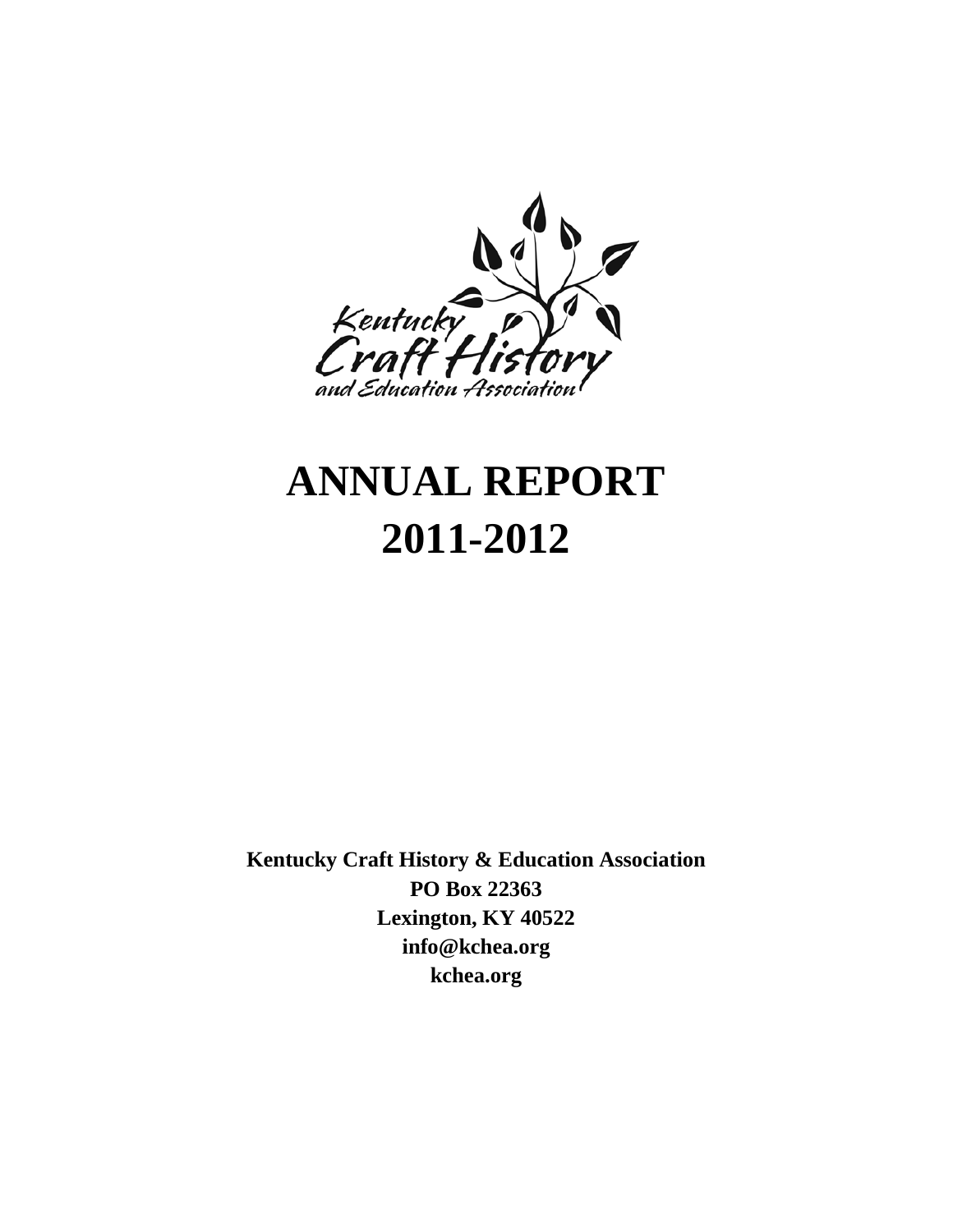

# **ANNUAL REPORT 2011-2012**

**Kentucky Craft History & Education Association PO Box 22363 Lexington, KY 40522 info@kchea.org kchea.org**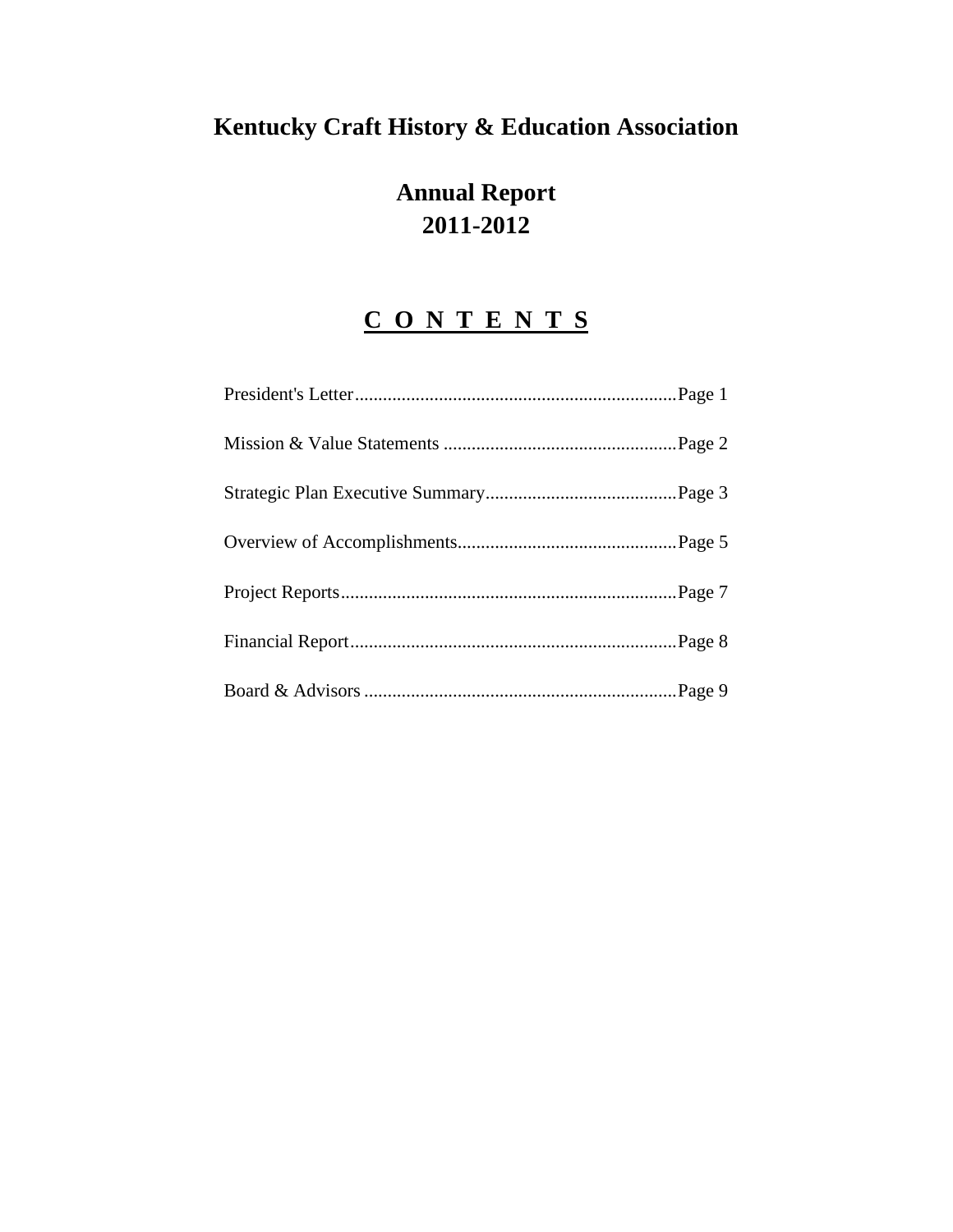## **Kentucky Craft History & Education Association**

## **Annual Report 2011-2012**

## **C O N T E N T S**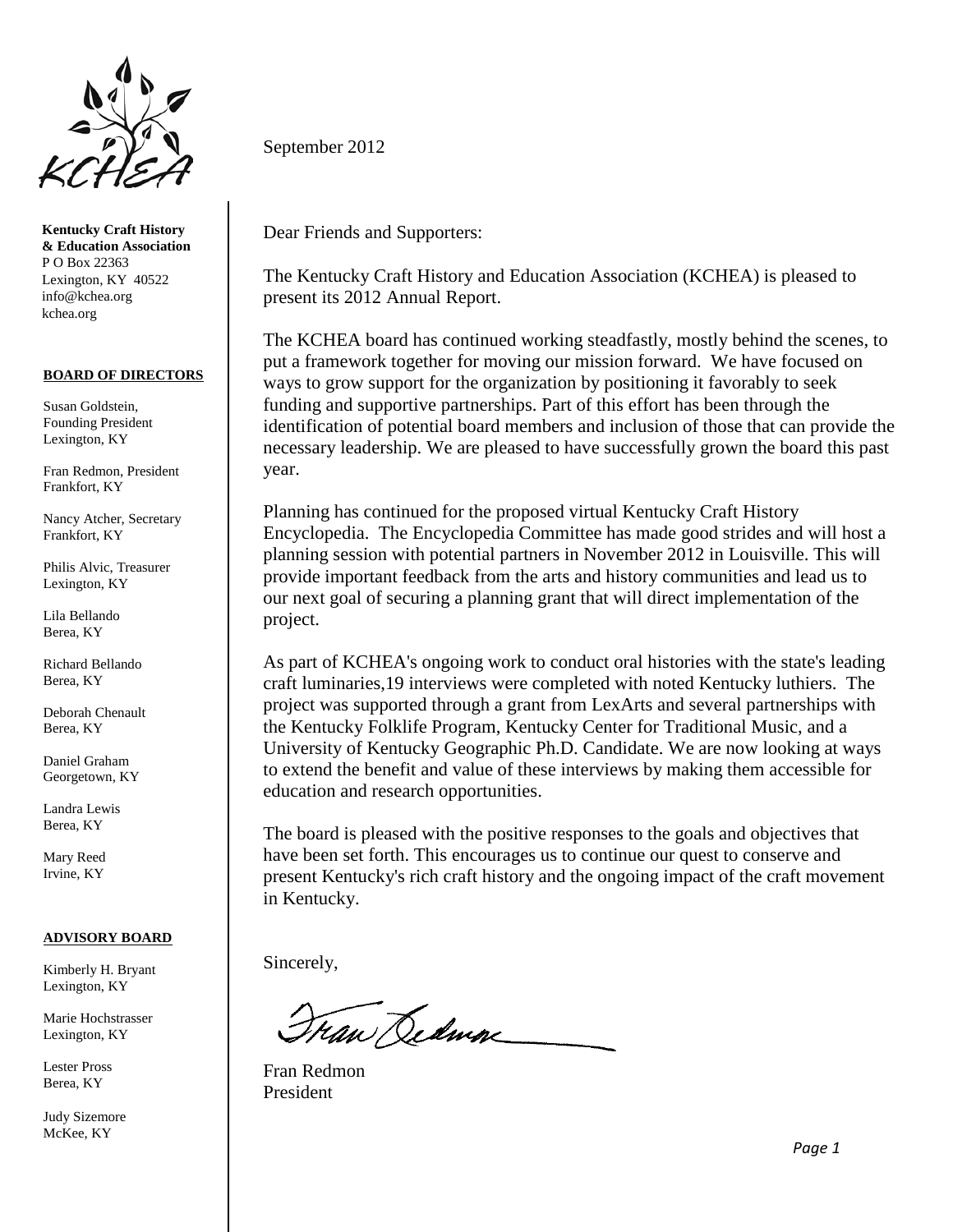

**Kentucky Craft History & Education Association** P O Box 22363 Lexington, KY 40522 info@kchea.org kchea.org

#### **BOARD OF DIRECTORS**

Susan Goldstein, Founding President Lexington, KY

Fran Redmon, President Frankfort, KY

Nancy Atcher, Secretary Frankfort, KY

Philis Alvic, Treasurer Lexington, KY

Lila Bellando Berea, KY

Richard Bellando Berea, KY

Deborah Chenault Berea, KY

Daniel Graham Georgetown, KY

Landra Lewis Berea, KY

Mary Reed Irvine, KY

#### **ADVISORY BOARD**

Kimberly H. Bryant Lexington, KY

Marie Hochstrasser Lexington, KY

Lester Pross Berea, KY

Judy Sizemore McKee, KY

September 2012

Dear Friends and Supporters:

The Kentucky Craft History and Education Association (KCHEA) is pleased to present its 2012 Annual Report.

The KCHEA board has continued working steadfastly, mostly behind the scenes, to put a framework together for moving our mission forward. We have focused on ways to grow support for the organization by positioning it favorably to seek funding and supportive partnerships. Part of this effort has been through the identification of potential board members and inclusion of those that can provide the necessary leadership. We are pleased to have successfully grown the board this past year.

Planning has continued for the proposed virtual Kentucky Craft History Encyclopedia. The Encyclopedia Committee has made good strides and will host a planning session with potential partners in November 2012 in Louisville. This will provide important feedback from the arts and history communities and lead us to our next goal of securing a planning grant that will direct implementation of the project.

As part of KCHEA's ongoing work to conduct oral histories with the state's leading craft luminaries,19 interviews were completed with noted Kentucky luthiers. The project was supported through a grant from LexArts and several partnerships with the Kentucky Folklife Program, Kentucky Center for Traditional Music, and a University of Kentucky Geographic Ph.D. Candidate. We are now looking at ways to extend the benefit and value of these interviews by making them accessible for education and research opportunities.

The board is pleased with the positive responses to the goals and objectives that have been set forth. This encourages us to continue our quest to conserve and present Kentucky's rich craft history and the ongoing impact of the craft movement in Kentucky.

Sincerely,

Tran Dedman

Fran Redmon President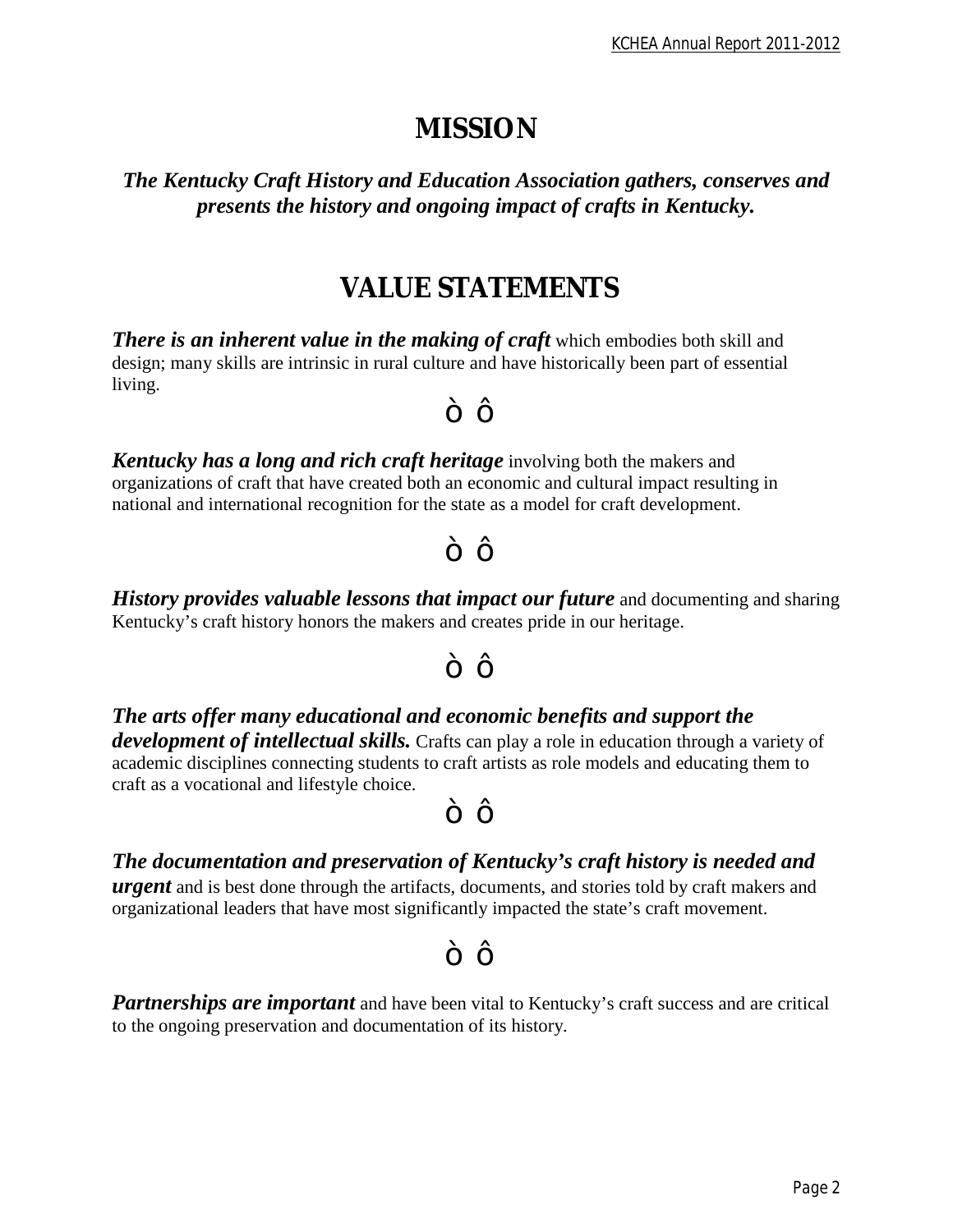## *MISSION*

*The Kentucky Craft History and Education Association gathers, conserves and presents the history and ongoing impact of crafts in Kentucky.*

## *VALUE STATEMENTS*

 $\sim$  TM

*There is an inherent value in the making of craft* **which embodies both skill and** design; many skills are intrinsic in rural culture and have historically been part of essential living.

*Kentucky has a long and rich craft heritage* involving both the makers and organizations of craft that have created both an economic and cultural impact resulting in national and international recognition for the state as a model for craft development.

*History provides valuable lessons that impact our future* and documenting and sharing

Kentucky's craft history honors the makers and creates pride in our heritage.

### $\sim$  TM

 $\sim$  TM

*The arts offer many educational and economic benefits and support the development of intellectual skills.* Crafts can play a role in education through a variety of academic disciplines connecting students to craft artists as role models and educating them to craft as a vocational and lifestyle choice.

 $\sim$  TM

*The documentation and preservation of Kentucky's craft history is needed and* 

*urgent* and is best done through the artifacts, documents, and stories told by craft makers and organizational leaders that have most significantly impacted the state's craft movement.

#### $\sim$  TM

**Partnerships are important** and have been vital to Kentucky's craft success and are critical to the ongoing preservation and documentation of its history.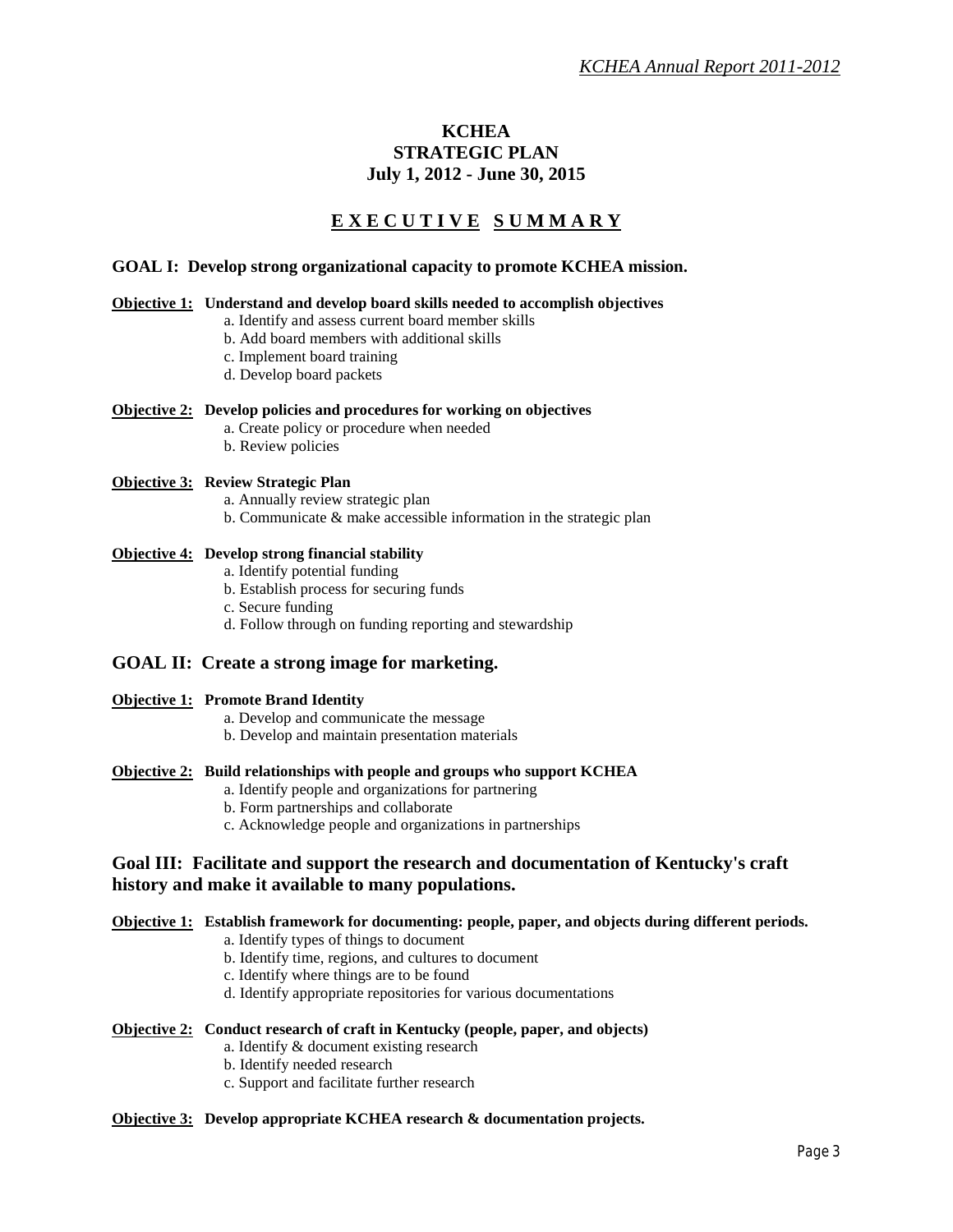## **KCHEA STRATEGIC PLAN July 1, 2012 - June 30, 2015**

## **E X E C U T I V E S U M M A R Y**

#### **GOAL I: Develop strong organizational capacity to promote KCHEA mission.**

#### **Objective 1: Understand and develop board skills needed to accomplish objectives**

- a. Identify and assess current board member skills
	- b. Add board members with additional skills
	- c. Implement board training
	- d. Develop board packets

#### **Objective 2: Develop policies and procedures for working on objectives**

- a. Create policy or procedure when needed
- b. Review policies

#### **Objective 3: Review Strategic Plan**

- a. Annually review strategic plan
- b. Communicate & make accessible information in the strategic plan

#### **Objective 4: Develop strong financial stability**

- a. Identify potential funding
- b. Establish process for securing funds
- c. Secure funding
- d. Follow through on funding reporting and stewardship

#### **GOAL II: Create a strong image for marketing.**

#### **Objective 1: Promote Brand Identity**

- a. Develop and communicate the message
- b. Develop and maintain presentation materials

#### **Objective 2: Build relationships with people and groups who support KCHEA**

- a. Identify people and organizations for partnering
- b. Form partnerships and collaborate
- c. Acknowledge people and organizations in partnerships

#### **Goal III: Facilitate and support the research and documentation of Kentucky's craft history and make it available to many populations.**

#### **Objective 1: Establish framework for documenting: people, paper, and objects during different periods.**

- a. Identify types of things to document
- b. Identify time, regions, and cultures to document
- c. Identify where things are to be found
- d. Identify appropriate repositories for various documentations

#### **Objective 2: Conduct research of craft in Kentucky (people, paper, and objects)**

- a. Identify & document existing research
- b. Identify needed research
- c. Support and facilitate further research

#### **Objective 3: Develop appropriate KCHEA research & documentation projects.**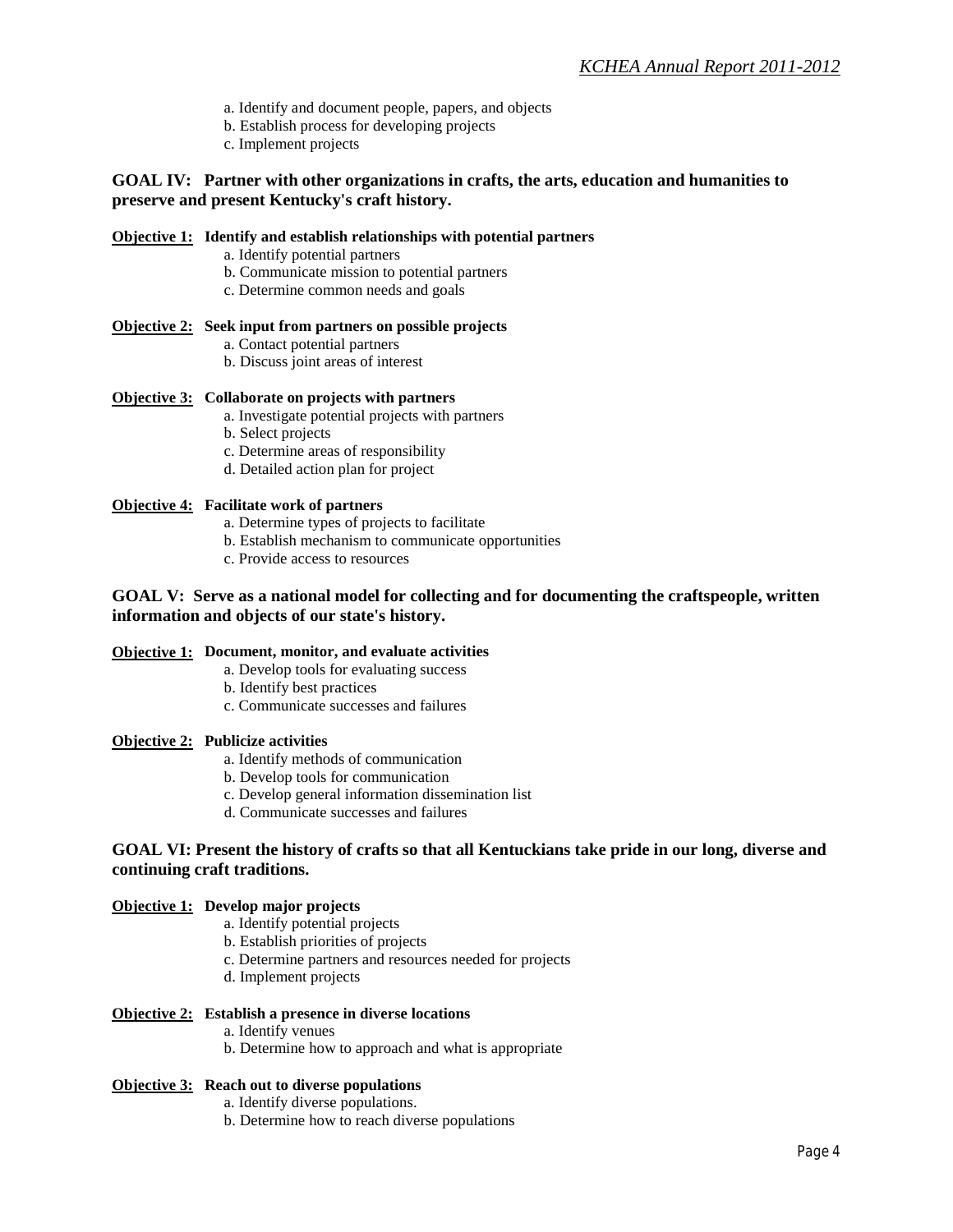- a. Identify and document people, papers, and objects
- b. Establish process for developing projects
- c. Implement projects

#### **GOAL IV: Partner with other organizations in crafts, the arts, education and humanities to preserve and present Kentucky's craft history.**

#### **Objective 1: Identify and establish relationships with potential partners**

- a. Identify potential partners
- b. Communicate mission to potential partners
- c. Determine common needs and goals

#### **Objective 2: Seek input from partners on possible projects**

- a. Contact potential partners
- b. Discuss joint areas of interest

#### **Objective 3: Collaborate on projects with partners**

- a. Investigate potential projects with partners
- b. Select projects
- c. Determine areas of responsibility
- d. Detailed action plan for project

#### **Objective 4: Facilitate work of partners**

- a. Determine types of projects to facilitate
- b. Establish mechanism to communicate opportunities
- c. Provide access to resources

#### **GOAL V: Serve as a national model for collecting and for documenting the craftspeople, written information and objects of our state's history.**

#### **Objective 1: Document, monitor, and evaluate activities**

- a. Develop tools for evaluating success
- b. Identify best practices
- c. Communicate successes and failures

#### **Objective 2: Publicize activities**

- a. Identify methods of communication
- b. Develop tools for communication
- c. Develop general information dissemination list
- d. Communicate successes and failures

#### **GOAL VI: Present the history of crafts so that all Kentuckians take pride in our long, diverse and continuing craft traditions.**

#### **Objective 1: Develop major projects**

- a. Identify potential projects
- b. Establish priorities of projects
- c. Determine partners and resources needed for projects
- d. Implement projects

#### **Objective 2: Establish a presence in diverse locations**

- a. Identify venues
- b. Determine how to approach and what is appropriate

#### **Objective 3: Reach out to diverse populations**

- a. Identify diverse populations.
- b. Determine how to reach diverse populations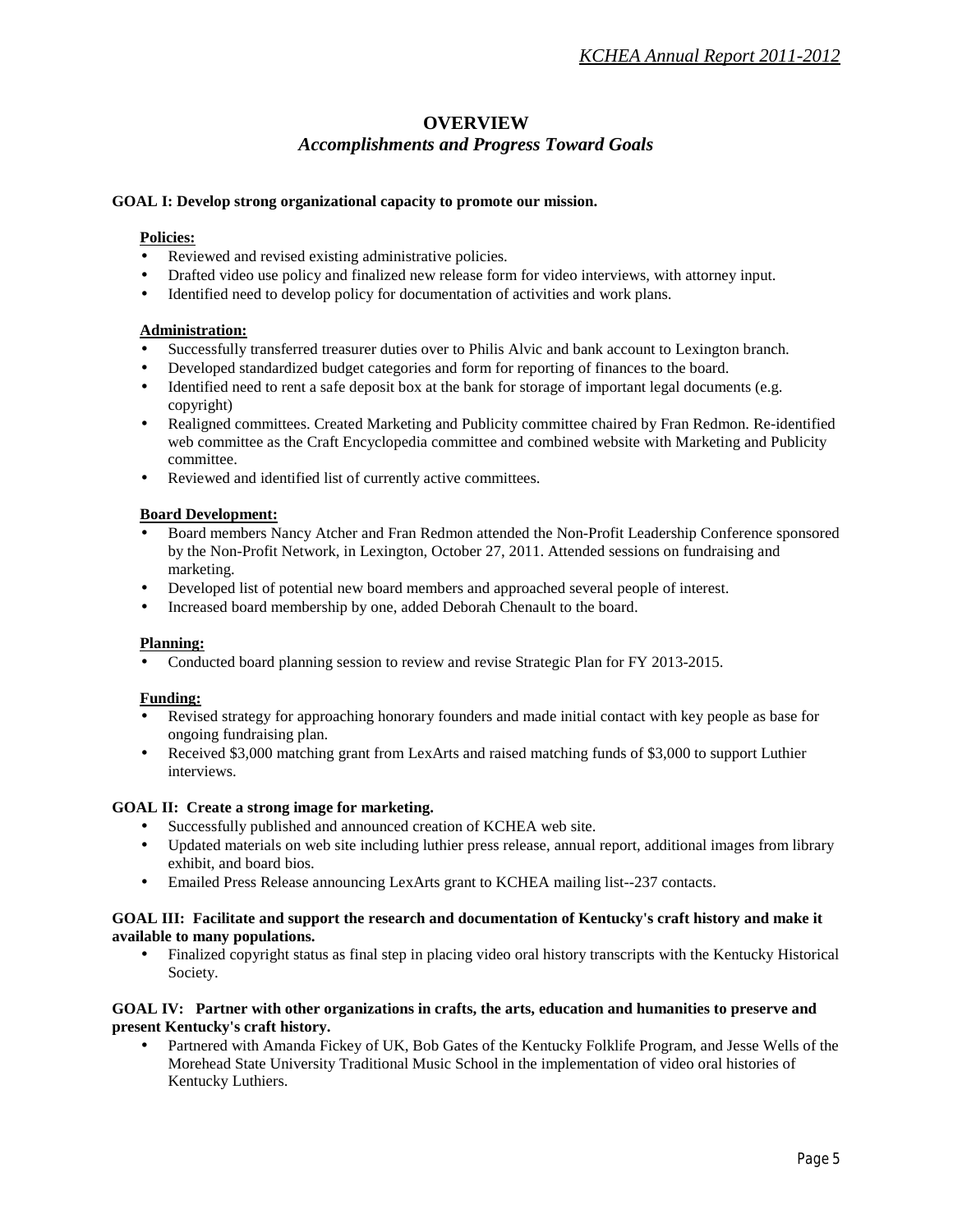## **OVERVIEW** *Accomplishments and Progress Toward Goals*

#### **GOAL I: Develop strong organizational capacity to promote our mission.**

#### **Policies:**

- Reviewed and revised existing administrative policies.
- Drafted video use policy and finalized new release form for video interviews, with attorney input.
- Identified need to develop policy for documentation of activities and work plans.

#### **Administration:**

- Successfully transferred treasurer duties over to Philis Alvic and bank account to Lexington branch.
- Developed standardized budget categories and form for reporting of finances to the board.
- Identified need to rent a safe deposit box at the bank for storage of important legal documents (e.g. copyright)
- Realigned committees. Created Marketing and Publicity committee chaired by Fran Redmon. Re-identified web committee as the Craft Encyclopedia committee and combined website with Marketing and Publicity committee.
- Reviewed and identified list of currently active committees. ×,

#### **Board Development:**

- Board members Nancy Atcher and Fran Redmon attended the Non-Profit Leadership Conference sponsored by the Non-Profit Network, in Lexington, October 27, 2011. Attended sessions on fundraising and marketing.
- Developed list of potential new board members and approached several people of interest.
- Increased board membership by one, added Deborah Chenault to the board.

#### **Planning:**

Conducted board planning session to review and revise Strategic Plan for FY 2013-2015.

#### **Funding:**

- Revised strategy for approaching honorary founders and made initial contact with key people as base for ongoing fundraising plan.
- Received \$3,000 matching grant from LexArts and raised matching funds of \$3,000 to support Luthier interviews.

#### **GOAL II: Create a strong image for marketing.**

- Successfully published and announced creation of KCHEA web site.
- Updated materials on web site including luthier press release, annual report, additional images from library exhibit, and board bios.
- Emailed Press Release announcing LexArts grant to KCHEA mailing list--237 contacts.

#### **GOAL III: Facilitate and support the research and documentation of Kentucky's craft history and make it available to many populations.**

Finalized copyright status as final step in placing video oral history transcripts with the Kentucky Historical ×. Society.

#### **GOAL IV: Partner with other organizations in crafts, the arts, education and humanities to preserve and present Kentucky's craft history.**

Partnered with Amanda Fickey of UK, Bob Gates of the Kentucky Folklife Program, and Jesse Wells of the Morehead State University Traditional Music School in the implementation of video oral histories of Kentucky Luthiers.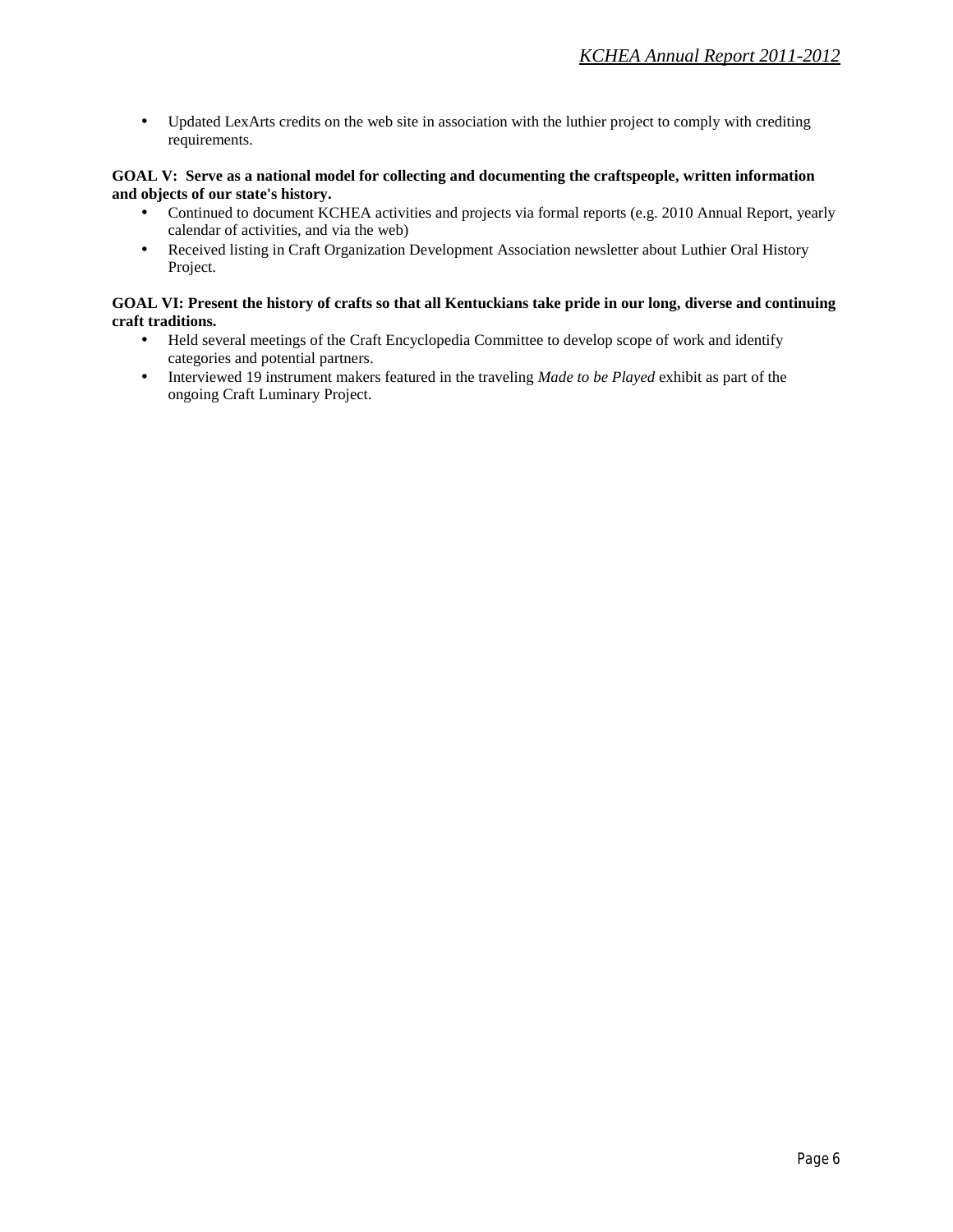Updated LexArts credits on the web site in association with the luthier project to comply with crediting  $\blacksquare$ requirements.

#### **GOAL V: Serve as a national model for collecting and documenting the craftspeople, written information and objects of our state's history.**

- Continued to document KCHEA activities and projects via formal reports (e.g. 2010 Annual Report, yearly calendar of activities, and via the web)
- Received listing in Craft Organization Development Association newsletter about Luthier Oral History k, Project.

#### **GOAL VI: Present the history of crafts so that all Kentuckians take pride in our long, diverse and continuing craft traditions.**

- Held several meetings of the Craft Encyclopedia Committee to develop scope of work and identify t. categories and potential partners.
- Interviewed 19 instrument makers featured in the traveling *Made to be Played* exhibit as part of the k, ongoing Craft Luminary Project.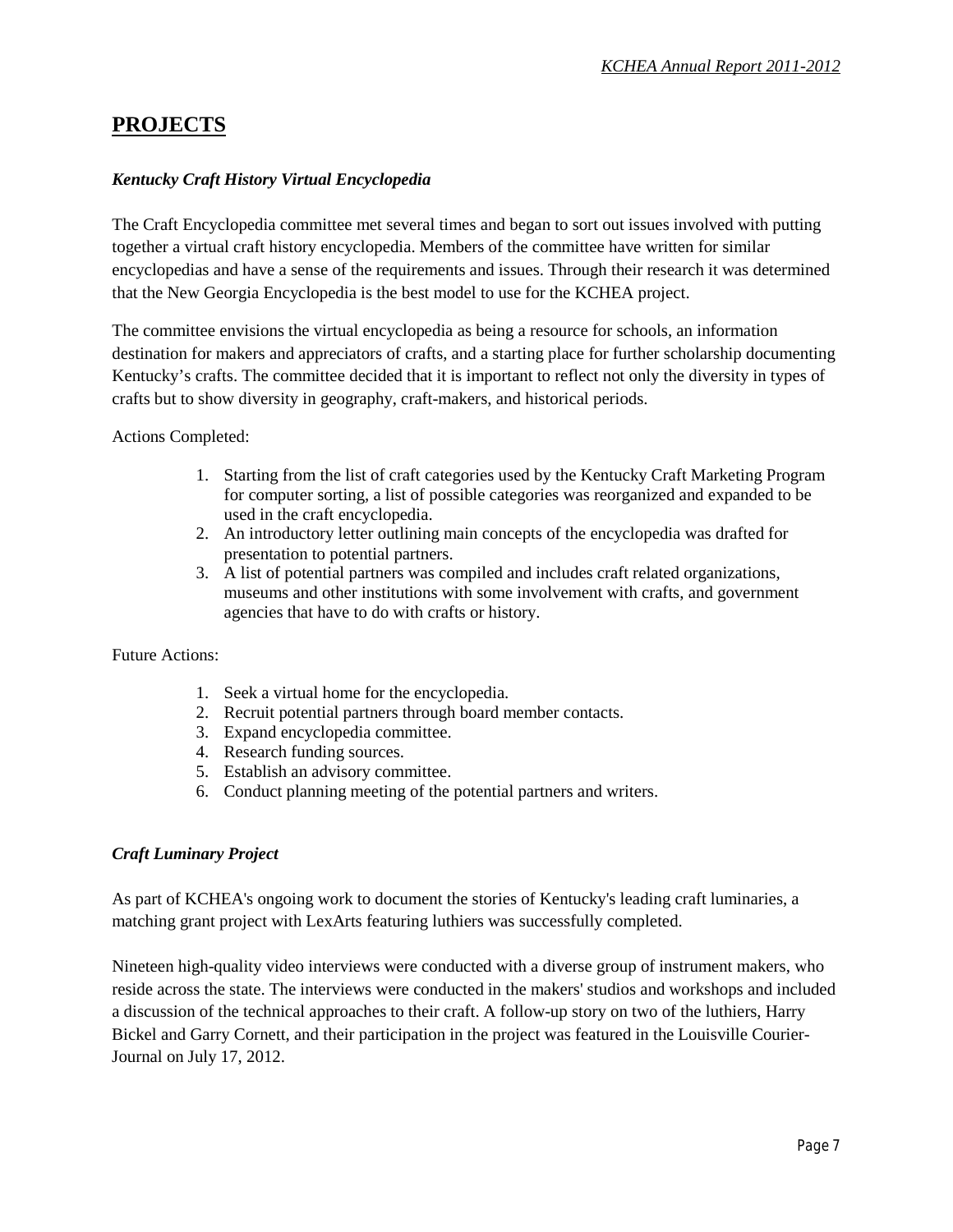## **PROJECTS**

### *Kentucky Craft History Virtual Encyclopedia*

The Craft Encyclopedia committee met several times and began to sort out issues involved with putting together a virtual craft history encyclopedia. Members of the committee have written for similar encyclopedias and have a sense of the requirements and issues. Through their research it was determined that the New Georgia Encyclopedia is the best model to use for the KCHEA project.

The committee envisions the virtual encyclopedia as being a resource for schools, an information destination for makers and appreciators of crafts, and a starting place for further scholarship documenting Kentucky's crafts. The committee decided that it is important to reflect not only the diversity in types of crafts but to show diversity in geography, craft-makers, and historical periods.

Actions Completed:

- 1. Starting from the list of craft categories used by the Kentucky Craft Marketing Program for computer sorting, a list of possible categories was reorganized and expanded to be used in the craft encyclopedia.
- 2. An introductory letter outlining main concepts of the encyclopedia was drafted for presentation to potential partners.
- 3. A list of potential partners was compiled and includes craft related organizations, museums and other institutions with some involvement with crafts, and government agencies that have to do with crafts or history.

Future Actions:

- 1. Seek a virtual home for the encyclopedia.
- 2. Recruit potential partners through board member contacts.
- 3. Expand encyclopedia committee.
- 4. Research funding sources.
- 5. Establish an advisory committee.
- 6. Conduct planning meeting of the potential partners and writers.

#### *Craft Luminary Project*

As part of KCHEA's ongoing work to document the stories of Kentucky's leading craft luminaries, a matching grant project with LexArts featuring luthiers was successfully completed.

Nineteen high-quality video interviews were conducted with a diverse group of instrument makers, who reside across the state. The interviews were conducted in the makers' studios and workshops and included a discussion of the technical approaches to their craft. A follow-up story on two of the luthiers, Harry Bickel and Garry Cornett, and their participation in the project was featured in the Louisville Courier-Journal on July 17, 2012.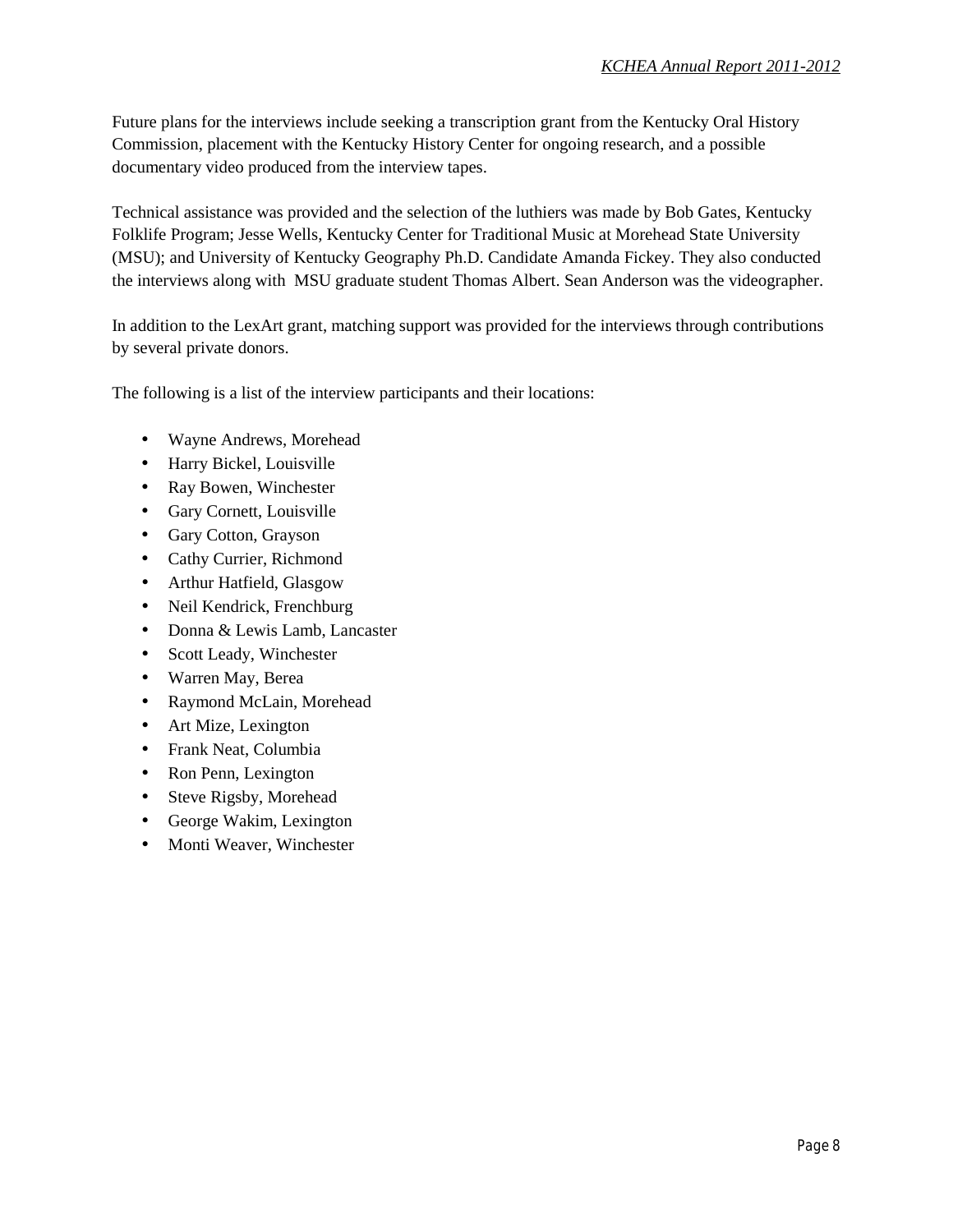Future plans for the interviews include seeking a transcription grant from the Kentucky Oral History Commission, placement with the Kentucky History Center for ongoing research, and a possible documentary video produced from the interview tapes.

Technical assistance was provided and the selection of the luthiers was made by Bob Gates, Kentucky Folklife Program; Jesse Wells, Kentucky Center for Traditional Music at Morehead State University (MSU); and University of Kentucky Geography Ph.D. Candidate Amanda Fickey. They also conducted the interviews along with MSU graduate student Thomas Albert. Sean Anderson was the videographer.

In addition to the LexArt grant, matching support was provided for the interviews through contributions by several private donors.

The following is a list of the interview participants and their locations:

- Wayne Andrews, Morehead
- Harry Bickel, Louisville
- Ray Bowen, Winchester
- Gary Cornett, Louisville
- Gary Cotton, Grayson
- Cathy Currier, Richmond
- Arthur Hatfield, Glasgow
- Neil Kendrick, Frenchburg
- Donna & Lewis Lamb, Lancaster
- Scott Leady, Winchester
- Warren May, Berea
- Raymond McLain, Morehead
- Art Mize, Lexington
- Frank Neat, Columbia
- Ron Penn, Lexington
- Steve Rigsby, Morehead
- George Wakim, Lexington
- Monti Weaver, Winchester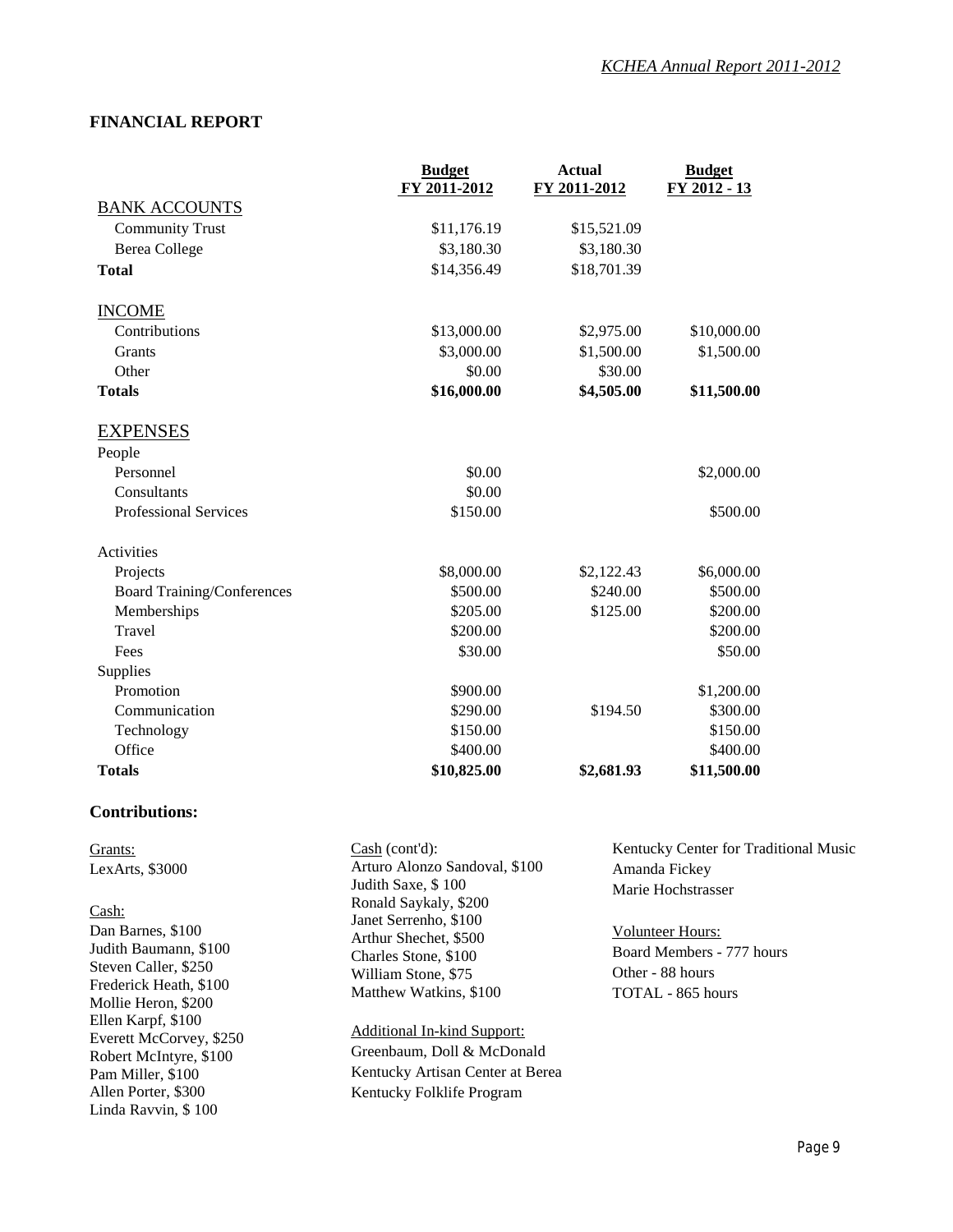## **FINANCIAL REPORT**

|                                   | <b>Budget</b> | <b>Actual</b> | <b>Budget</b> |
|-----------------------------------|---------------|---------------|---------------|
|                                   | FY 2011-2012  | FY 2011-2012  | FY 2012 - 13  |
| <b>BANK ACCOUNTS</b>              |               |               |               |
| <b>Community Trust</b>            | \$11,176.19   | \$15,521.09   |               |
| <b>Berea College</b>              | \$3,180.30    | \$3,180.30    |               |
| <b>Total</b>                      | \$14,356.49   | \$18,701.39   |               |
| <b>INCOME</b>                     |               |               |               |
| Contributions                     | \$13,000.00   | \$2,975.00    | \$10,000.00   |
| Grants                            | \$3,000.00    | \$1,500.00    | \$1,500.00    |
| Other                             | \$0.00        | \$30.00       |               |
| <b>Totals</b>                     | \$16,000.00   | \$4,505.00    | \$11,500.00   |
| <b>EXPENSES</b>                   |               |               |               |
| People                            |               |               |               |
| Personnel                         | \$0.00        |               | \$2,000.00    |
| Consultants                       | \$0.00        |               |               |
| <b>Professional Services</b>      | \$150.00      |               | \$500.00      |
| Activities                        |               |               |               |
| Projects                          | \$8,000.00    | \$2,122.43    | \$6,000.00    |
| <b>Board Training/Conferences</b> | \$500.00      | \$240.00      | \$500.00      |
| Memberships                       | \$205.00      | \$125.00      | \$200.00      |
| Travel                            | \$200.00      |               | \$200.00      |
| Fees                              | \$30.00       |               | \$50.00       |
| Supplies                          |               |               |               |
| Promotion                         | \$900.00      |               | \$1,200.00    |
| Communication                     | \$290.00      | \$194.50      | \$300.00      |
| Technology                        | \$150.00      |               | \$150.00      |
| Office                            | \$400.00      |               | \$400.00      |
| <b>Totals</b>                     | \$10,825.00   | \$2,681.93    | \$11,500.00   |

### **Contributions:**

| Grants:                                                                                                                                                           | Cash (cont'd):                                                                                                                                                                                          | Kentucky Center for Traditional Music                                                                                                |
|-------------------------------------------------------------------------------------------------------------------------------------------------------------------|---------------------------------------------------------------------------------------------------------------------------------------------------------------------------------------------------------|--------------------------------------------------------------------------------------------------------------------------------------|
| LexArts, $$3000$<br>Cash:<br>Dan Barnes, \$100<br>Judith Baumann, \$100<br>Steven Caller, \$250<br>Frederick Heath, \$100                                         | Arturo Alonzo Sandoval, \$100<br>Judith Saxe, \$100<br>Ronald Saykaly, \$200<br>Janet Serrenho, \$100<br>Arthur Shechet, \$500<br>Charles Stone, \$100<br>William Stone, \$75<br>Matthew Watkins, \$100 | Amanda Fickey<br>Marie Hochstrasser<br><b>Volunteer Hours:</b><br>Board Members - 777 hours<br>Other - 88 hours<br>TOTAL - 865 hours |
| Mollie Heron, \$200<br>Ellen Karpf, \$100<br>Everett McCorvey, \$250<br>Robert McIntyre, \$100<br>Pam Miller, \$100<br>Allen Porter, \$300<br>Linda Ravvin, \$100 | <b>Additional In-kind Support:</b><br>Greenbaum, Doll & McDonald<br>Kentucky Artisan Center at Berea<br>Kentucky Folklife Program                                                                       |                                                                                                                                      |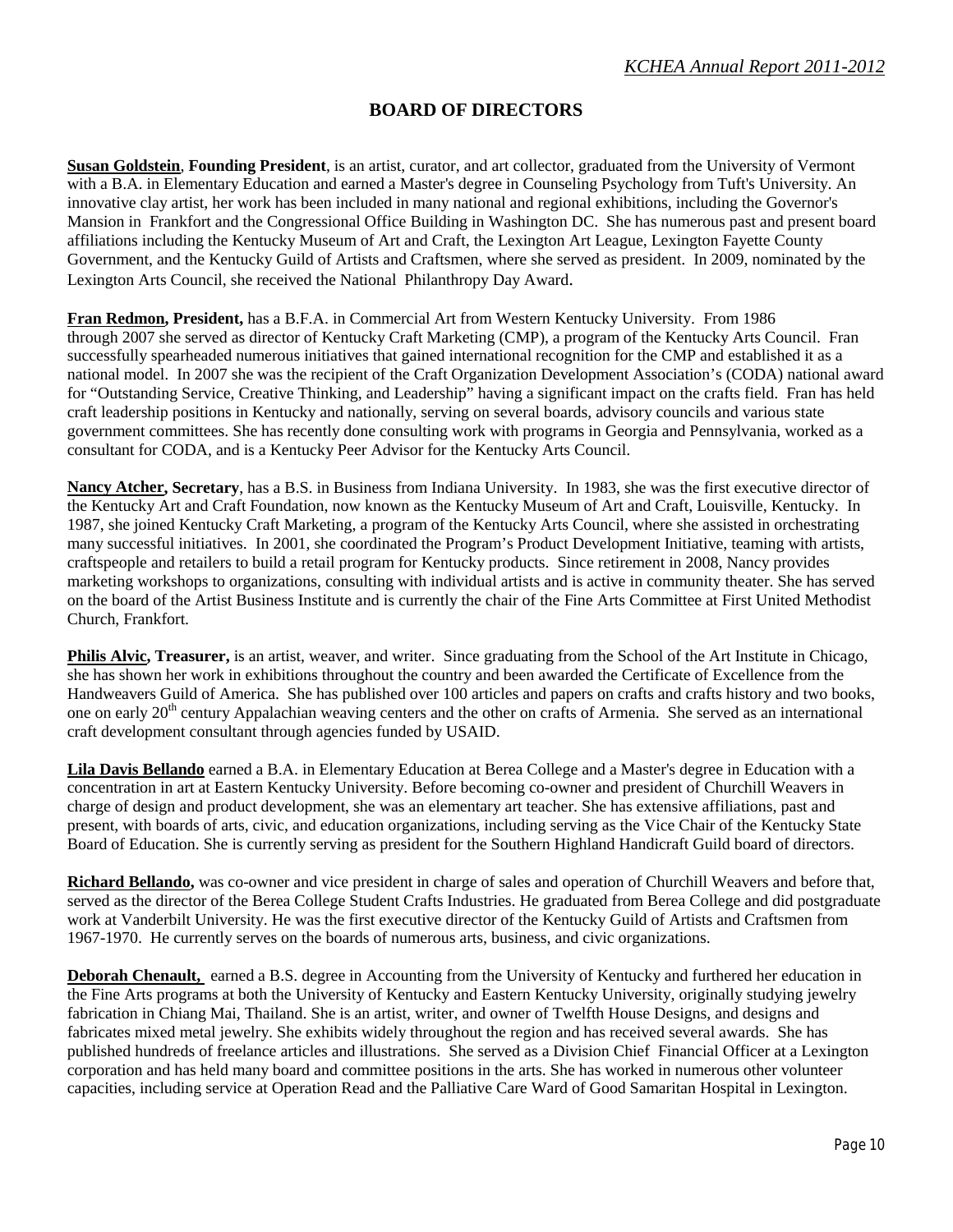## **BOARD OF DIRECTORS**

**Susan Goldstein**, **Founding President**, is an artist, curator, and art collector, graduated from the University of Vermont with a B.A. in Elementary Education and earned a Master's degree in Counseling Psychology from Tuft's University. An innovative clay artist, her work has been included in many national and regional exhibitions, including the Governor's Mansion in Frankfort and the Congressional Office Building in Washington DC. She has numerous past and present board affiliations including the Kentucky Museum of Art and Craft, the Lexington Art League, Lexington Fayette County Government, and the Kentucky Guild of Artists and Craftsmen, where she served as president. In 2009, nominated by the Lexington Arts Council, she received the National Philanthropy Day Award.

**Fran Redmon, President,** has a B.F.A. in Commercial Art from Western Kentucky University. From 1986 through 2007 she served as director of Kentucky Craft Marketing (CMP), a program of the Kentucky Arts Council. Fran successfully spearheaded numerous initiatives that gained international recognition for the CMP and established it as a national model. In 2007 she was the recipient of the Craft Organization Development Association's (CODA) national award for "Outstanding Service, Creative Thinking, and Leadership" having a significant impact on the crafts field. Fran has held craft leadership positions in Kentucky and nationally, serving on several boards, advisory councils and various state government committees. She has recently done consulting work with programs in Georgia and Pennsylvania, worked as a consultant for CODA, and is a Kentucky Peer Advisor for the Kentucky Arts Council.

**Nancy Atcher, Secretary**, has a B.S. in Business from Indiana University. In 1983, she was the first executive director of the Kentucky Art and Craft Foundation, now known as the Kentucky Museum of Art and Craft, Louisville, Kentucky. In 1987, she joined Kentucky Craft Marketing, a program of the Kentucky Arts Council, where she assisted in orchestrating many successful initiatives. In 2001, she coordinated the Program's Product Development Initiative, teaming with artists, craftspeople and retailers to build a retail program for Kentucky products. Since retirement in 2008, Nancy provides marketing workshops to organizations, consulting with individual artists and is active in community theater. She has served on the board of the Artist Business Institute and is currently the chair of the Fine Arts Committee at First United Methodist Church, Frankfort.

**Philis Alvic, Treasurer,** is an artist, weaver, and writer. Since graduating from the School of the Art Institute in Chicago, she has shown her work in exhibitions throughout the country and been awarded the Certificate of Excellence from the Handweavers Guild of America. She has published over 100 articles and papers on crafts and crafts history and two books, one on early 20<sup>th</sup> century Appalachian weaving centers and the other on crafts of Armenia. She served as an international craft development consultant through agencies funded by USAID.

**Lila Davis Bellando** earned a B.A. in Elementary Education at Berea College and a Master's degree in Education with a concentration in art at Eastern Kentucky University. Before becoming co-owner and president of Churchill Weavers in charge of design and product development, she was an elementary art teacher. She has extensive affiliations, past and present, with boards of arts, civic, and education organizations, including serving as the Vice Chair of the Kentucky State Board of Education. She is currently serving as president for the Southern Highland Handicraft Guild board of directors.

**Richard Bellando,** was co-owner and vice president in charge of sales and operation of Churchill Weavers and before that, served as the director of the Berea College Student Crafts Industries. He graduated from Berea College and did postgraduate work at Vanderbilt University. He was the first executive director of the Kentucky Guild of Artists and Craftsmen from 1967-1970. He currently serves on the boards of numerous arts, business, and civic organizations.

**Deborah Chenault,** earned a B.S. degree in Accounting from the University of Kentucky and furthered her education in the Fine Arts programs at both the University of Kentucky and Eastern Kentucky University, originally studying jewelry fabrication in Chiang Mai, Thailand. She is an artist, writer, and owner of Twelfth House Designs, and designs and fabricates mixed metal jewelry. She exhibits widely throughout the region and has received several awards. She has published hundreds of freelance articles and illustrations. She served as a Division Chief Financial Officer at a Lexington corporation and has held many board and committee positions in the arts. She has worked in numerous other volunteer capacities, including service at Operation Read and the Palliative Care Ward of Good Samaritan Hospital in Lexington.